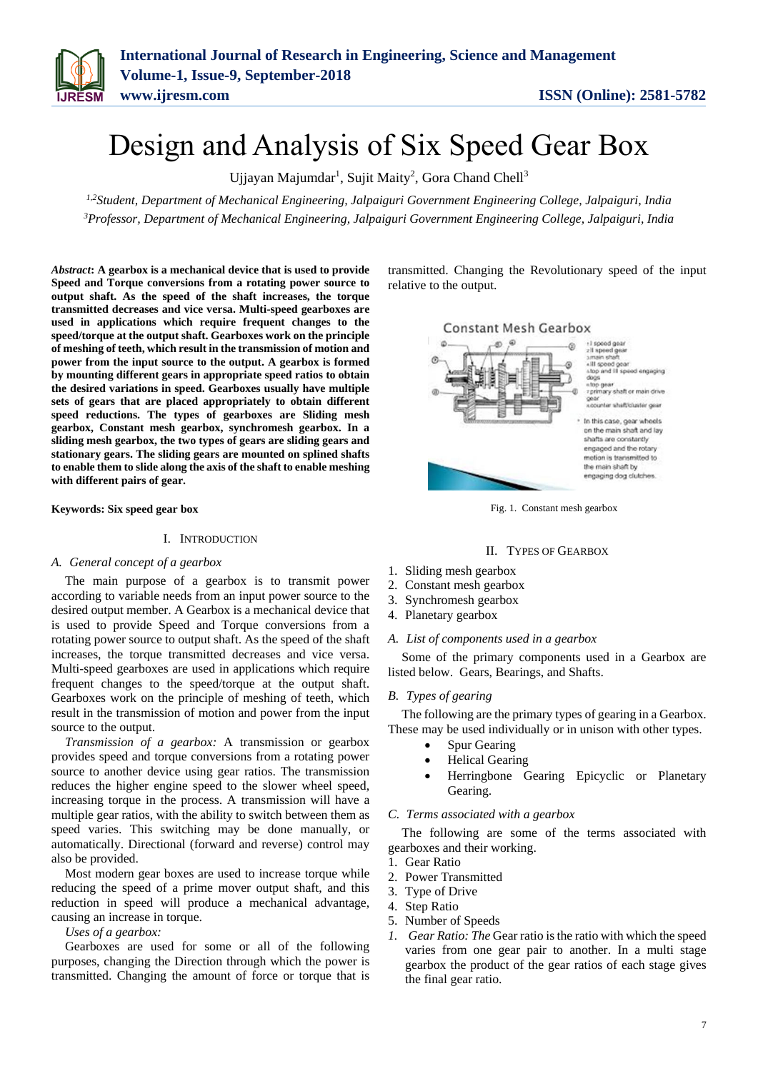# Design and Analysis of Six Speed Gear Box

Ujjayan Majumdar<sup>1</sup>, Sujit Maity<sup>2</sup>, Gora Chand Chell<sup>3</sup>

*1,2Student, Department of Mechanical Engineering, Jalpaiguri Government Engineering College, Jalpaiguri, India <sup>3</sup>Professor, Department of Mechanical Engineering, Jalpaiguri Government Engineering College, Jalpaiguri, India*

*Abstract***: A gearbox is a mechanical device that is used to provide Speed and Torque conversions from a rotating power source to output shaft. As the speed of the shaft increases, the torque transmitted decreases and vice versa. Multi-speed gearboxes are used in applications which require frequent changes to the speed/torque at the output shaft. Gearboxes work on the principle of meshing of teeth, which result in the transmission of motion and power from the input source to the output. A gearbox is formed by mounting different gears in appropriate speed ratios to obtain the desired variations in speed. Gearboxes usually have multiple sets of gears that are placed appropriately to obtain different speed reductions. The types of gearboxes are Sliding mesh gearbox, Constant mesh gearbox, synchromesh gearbox. In a sliding mesh gearbox, the two types of gears are sliding gears and stationary gears. The sliding gears are mounted on splined shafts to enable them to slide along the axis of the shaft to enable meshing with different pairs of gear.** 

**Keywords: Six speed gear box**

## I. INTRODUCTION

#### *A. General concept of a gearbox*

The main purpose of a gearbox is to transmit power according to variable needs from an input power source to the desired output member. A Gearbox is a mechanical device that is used to provide Speed and Torque conversions from a rotating power source to output shaft. As the speed of the shaft increases, the torque transmitted decreases and vice versa. Multi-speed gearboxes are used in applications which require frequent changes to the speed/torque at the output shaft. Gearboxes work on the principle of meshing of teeth, which result in the transmission of motion and power from the input source to the output.

*Transmission of a gearbox:* A transmission or gearbox provides speed and torque conversions from a rotating power source to another device using gear ratios. The transmission reduces the higher engine speed to the slower wheel speed, increasing torque in the process. A transmission will have a multiple gear ratios, with the ability to switch between them as speed varies. This switching may be done manually, or automatically. Directional (forward and reverse) control may also be provided.

Most modern gear boxes are used to increase torque while reducing the speed of a prime mover output shaft, and this reduction in speed will produce a mechanical advantage, causing an increase in torque.

*Uses of a gearbox:*

Gearboxes are used for some or all of the following purposes, changing the Direction through which the power is transmitted. Changing the amount of force or torque that is

transmitted. Changing the Revolutionary speed of the input relative to the output.





## II. TYPES OF GEARBOX

- 1. Sliding mesh gearbox
- 2. Constant mesh gearbox
- 3. Synchromesh gearbox
- 4. Planetary gearbox

#### *A. List of components used in a gearbox*

Some of the primary components used in a Gearbox are listed below. Gears, Bearings, and Shafts.

## *B. Types of gearing*

The following are the primary types of gearing in a Gearbox. These may be used individually or in unison with other types.

- Spur Gearing
- Helical Gearing
- Herringbone Gearing Epicyclic or Planetary Gearing.

## *C. Terms associated with a gearbox*

The following are some of the terms associated with gearboxes and their working.

- 1. Gear Ratio
- 2. Power Transmitted
- 3. Type of Drive
- 4. Step Ratio
- 5. Number of Speeds
- *1. Gear Ratio: The* Gear ratio is the ratio with which the speed varies from one gear pair to another. In a multi stage gearbox the product of the gear ratios of each stage gives the final gear ratio.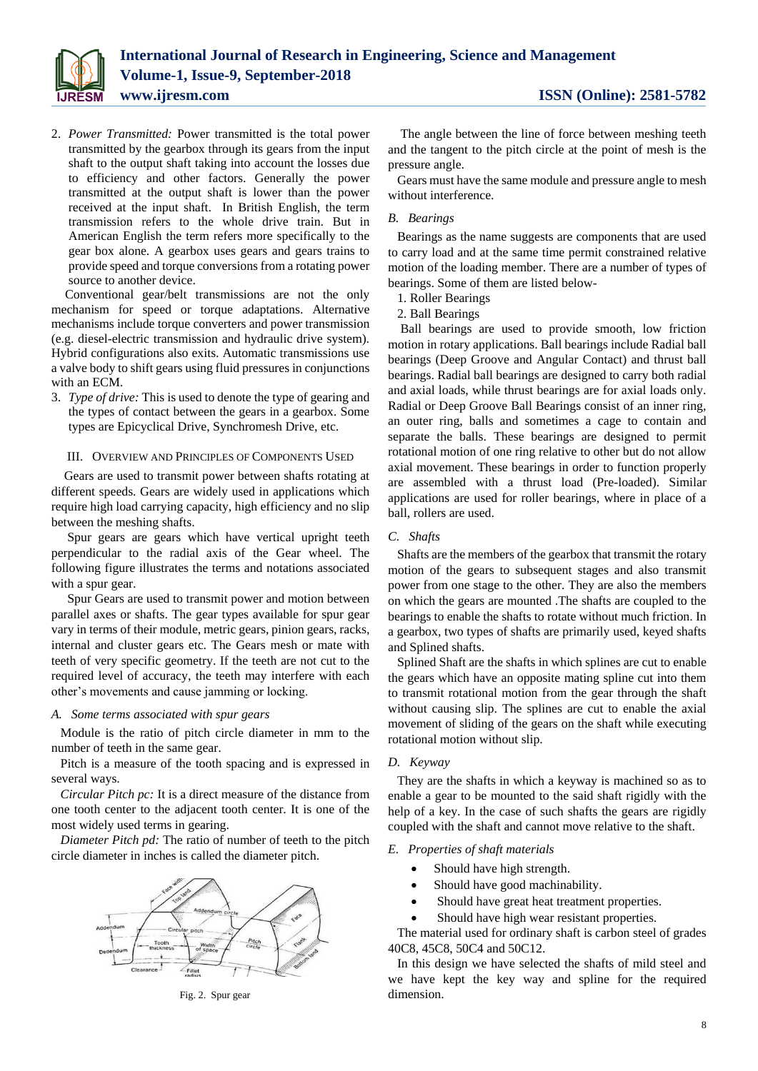

2. *Power Transmitted:* Power transmitted is the total power transmitted by the gearbox through its gears from the input shaft to the output shaft taking into account the losses due to efficiency and other factors. Generally the power transmitted at the output shaft is lower than the power received at the input shaft. In British English, the term transmission refers to the whole drive train. But in American English the term refers more specifically to the gear box alone. A gearbox uses gears and gears trains to provide speed and torque conversions from a rotating power source to another device.

Conventional gear/belt transmissions are not the only mechanism for speed or torque adaptations. Alternative mechanisms include torque converters and power transmission (e.g. diesel-electric transmission and hydraulic drive system). Hybrid configurations also exits. Automatic transmissions use a valve body to shift gears using fluid pressures in conjunctions with an ECM.

3. *Type of drive:* This is used to denote the type of gearing and the types of contact between the gears in a gearbox. Some types are Epicyclical Drive, Synchromesh Drive, etc.

#### III. OVERVIEW AND PRINCIPLES OF COMPONENTS USED

Gears are used to transmit power between shafts rotating at different speeds. Gears are widely used in applications which require high load carrying capacity, high efficiency and no slip between the meshing shafts.

Spur gears are gears which have vertical upright teeth perpendicular to the radial axis of the Gear wheel. The following figure illustrates the terms and notations associated with a spur gear.

Spur Gears are used to transmit power and motion between parallel axes or shafts. The gear types available for spur gear vary in terms of their module, metric gears, pinion gears, racks, internal and cluster gears etc. The Gears mesh or mate with teeth of very specific geometry. If the teeth are not cut to the required level of accuracy, the teeth may interfere with each other's movements and cause jamming or locking.

#### *A. Some terms associated with spur gears*

Module is the ratio of pitch circle diameter in mm to the number of teeth in the same gear.

Pitch is a measure of the tooth spacing and is expressed in several ways.

*Circular Pitch pc:* It is a direct measure of the distance from one tooth center to the adjacent tooth center. It is one of the most widely used terms in gearing.

*Diameter Pitch pd:* The ratio of number of teeth to the pitch circle diameter in inches is called the diameter pitch.



Fig. 2. Spur gear

The angle between the line of force between meshing teeth and the tangent to the pitch circle at the point of mesh is the pressure angle.

Gears must have the same module and pressure angle to mesh without interference.

## *B. Bearings*

Bearings as the name suggests are components that are used to carry load and at the same time permit constrained relative motion of the loading member. There are a number of types of bearings. Some of them are listed below-

1. Roller Bearings

2. Ball Bearings

Ball bearings are used to provide smooth, low friction motion in rotary applications. Ball bearings include Radial ball bearings (Deep Groove and Angular Contact) and thrust ball bearings. Radial ball bearings are designed to carry both radial and axial loads, while thrust bearings are for axial loads only. Radial or Deep Groove Ball Bearings consist of an inner ring, an outer ring, balls and sometimes a cage to contain and separate the balls. These bearings are designed to permit rotational motion of one ring relative to other but do not allow axial movement. These bearings in order to function properly are assembled with a thrust load (Pre-loaded). Similar applications are used for roller bearings, where in place of a ball, rollers are used.

# *C. Shafts*

Shafts are the members of the gearbox that transmit the rotary motion of the gears to subsequent stages and also transmit power from one stage to the other. They are also the members on which the gears are mounted .The shafts are coupled to the bearings to enable the shafts to rotate without much friction. In a gearbox, two types of shafts are primarily used, keyed shafts and Splined shafts.

Splined Shaft are the shafts in which splines are cut to enable the gears which have an opposite mating spline cut into them to transmit rotational motion from the gear through the shaft without causing slip. The splines are cut to enable the axial movement of sliding of the gears on the shaft while executing rotational motion without slip.

## *D. Keyway*

They are the shafts in which a keyway is machined so as to enable a gear to be mounted to the said shaft rigidly with the help of a key. In the case of such shafts the gears are rigidly coupled with the shaft and cannot move relative to the shaft.

#### *E. Properties of shaft materials*

- Should have high strength.
- Should have good machinability.
- Should have great heat treatment properties.
- Should have high wear resistant properties.

The material used for ordinary shaft is carbon steel of grades 40C8, 45C8, 50C4 and 50C12.

In this design we have selected the shafts of mild steel and we have kept the key way and spline for the required dimension.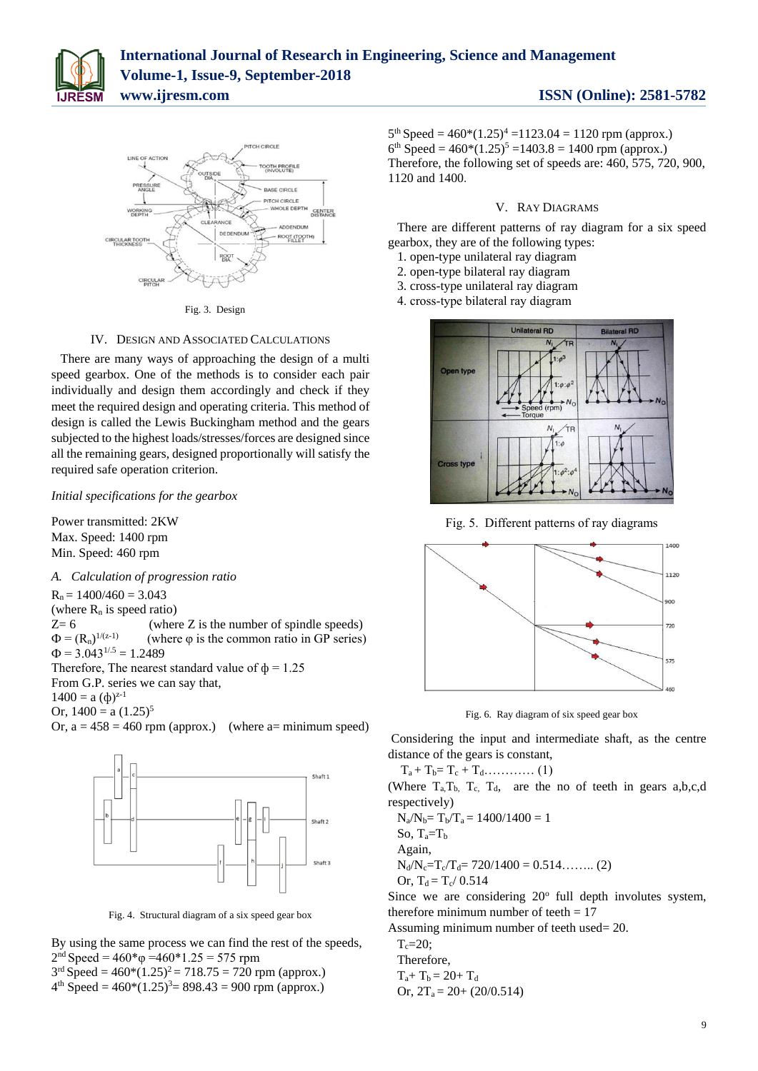



Fig. 3. Design

# IV. DESIGN AND ASSOCIATED CALCULATIONS

There are many ways of approaching the design of a multi speed gearbox. One of the methods is to consider each pair individually and design them accordingly and check if they meet the required design and operating criteria. This method of design is called the Lewis Buckingham method and the gears subjected to the highest loads/stresses/forces are designed since all the remaining gears, designed proportionally will satisfy the required safe operation criterion.

*Initial specifications for the gearbox*

Power transmitted: 2KW Max. Speed: 1400 rpm Min. Speed: 460 rpm

*A. Calculation of progression ratio*  $R_n = 1400/460 = 3.043$ (where  $R_n$  is speed ratio)  $Z=6$  (where Z is the number of spindle speeds)  $\Phi = (R_n)^{1/(z-1)}$  (where φ is the common ratio in GP series)  $\Phi$  = 3.043<sup>1/.5</sup> = 1.2489 Therefore, The nearest standard value of  $\phi = 1.25$ From G.P. series we can say that,  $1400 = a \, (\phi)^{z-1}$ Or,  $1400 = a (1.25)^5$ Or,  $a = 458 = 460$  rpm (approx.) (where a= minimum speed)



Fig. 4. Structural diagram of a six speed gear box

By using the same process we can find the rest of the speeds,  $2<sup>nd</sup> Speed = 460<sup>*</sup>φ = 460<sup>*</sup>1.25 = 575 rpm$ 

 $3<sup>rd</sup> Speed = 460*(1.25)<sup>2</sup> = 718.75 = 720$  rpm (approx.)

 $4<sup>th</sup> Speed = 460*(1.25)<sup>3</sup> = 898.43 = 900$  rpm (approx.)

 $5<sup>th</sup> Speed = 460*(1.25)<sup>4</sup> = 1123.04 = 1120$  rpm (approx.)  $6<sup>th</sup> Speed = 460*(1.25)<sup>5</sup> = 1403.8 = 1400$  rpm (approx.) Therefore, the following set of speeds are: 460, 575, 720, 900, 1120 and 1400.

#### V. RAY DIAGRAMS

There are different patterns of ray diagram for a six speed gearbox, they are of the following types:

- 1. open-type unilateral ray diagram
- 2. open-type bilateral ray diagram
- 3. cross-type unilateral ray diagram

4. cross-type bilateral ray diagram



Fig. 5. Different patterns of ray diagrams



Fig. 6. Ray diagram of six speed gear box

Considering the input and intermediate shaft, as the centre distance of the gears is constant,

Ta + Tb= T<sup>c</sup> + Td………… (1)

(Where  $T_a, T_b, T_c, T_d,$  are the no of teeth in gears  $a, b, c, d$ respectively)

 $N_a/N_b = T_b/T_a = 1400/1400 = 1$ So,  $T_a = T_b$ 

Again,

 $N_d/N_c=T_c/T_d= 720/1400 = 0.514$ …….. (2) Or,  $T_d = T_c / 0.514$ 

Since we are considering  $20^{\circ}$  full depth involutes system, therefore minimum number of teeth  $= 17$ 

Assuming minimum number of teeth used= 20.

 $T_c=20;$ Therefore,  $T_a+T_b = 20+T_d$ Or,  $2T_a = 20 + (20/0.514)$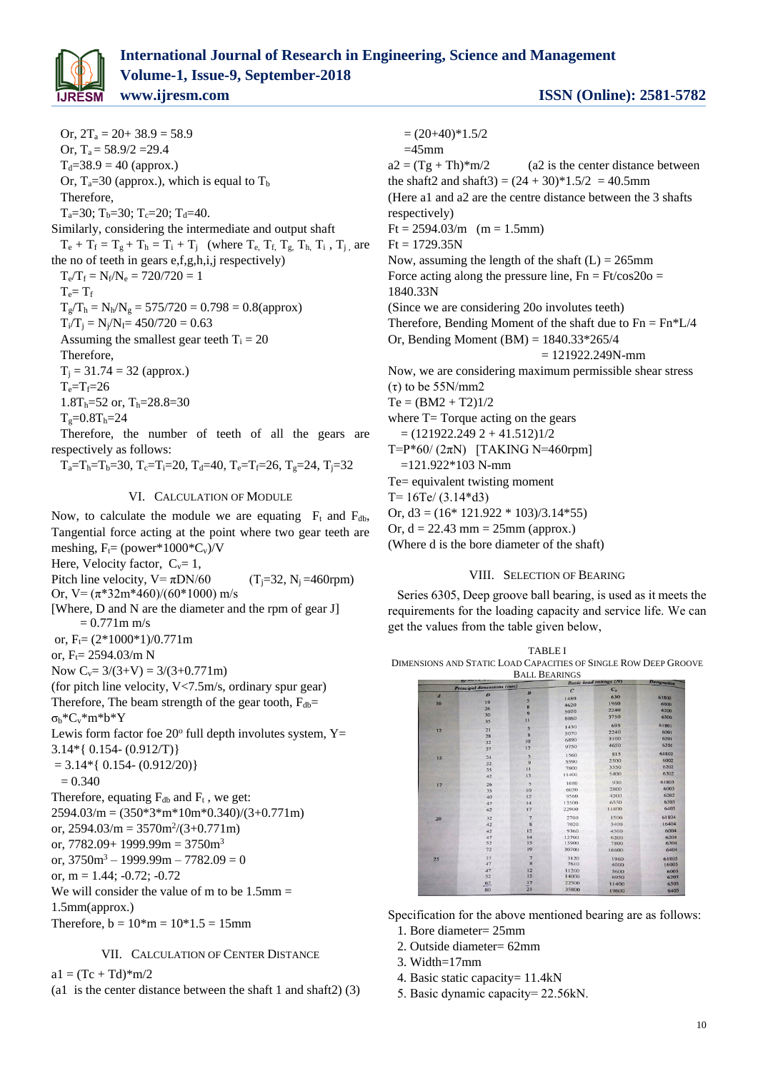

Or,  $2T_a = 20 + 38.9 = 58.9$ Or,  $T_a = 58.9/2 = 29.4$  $T_d = 38.9 = 40$  (approx.) Or,  $T_a = 30$  (approx.), which is equal to  $T_b$ Therefore,  $T_a=30$ ;  $T_b=30$ ;  $T_c=20$ ;  $T_d=40$ . Similarly, considering the intermediate and output shaft  $T_e + T_f = T_g + T_h = T_i + T_j$  (where  $T_e$ ,  $T_f$ ,  $T_g$ ,  $T_h$ ,  $T_i$ ,  $T_i$ , are the no of teeth in gears  $e.f.g.h.i.i$  respectively)  $T_e/T_f = N_f/N_e = 720/720 = 1$  $T_e = T_f$  $T_g/T_h = N_h/N_g = 575/720 = 0.798 = 0.8$ (approx)  $T_i/T_i = N_i/N_i = 450/720 = 0.63$ Assuming the smallest gear teeth  $T_i = 20$ 

Therefore,  $T_i = 31.74 = 32$  (approx.)  $T_e=T_f=26$  $1.8T_h = 52$  or,  $T_h = 28.8 = 30$ 

 $T_e = 0.8T_h = 24$ 

Therefore, the number of teeth of all the gears are respectively as follows:

 $T_a = T_b = T_b = 30$ ,  $T_c = T_i = 20$ ,  $T_d = 40$ ,  $T_e = T_f = 26$ ,  $T_g = 24$ ,  $T_i = 32$ 

# VI. CALCULATION OF MODULE

Now, to calculate the module we are equating  $F_t$  and  $F_{db}$ , Tangential force acting at the point where two gear teeth are meshing,  $F_t = (power * 1000 * C_v) / V$ Here, Velocity factor,  $C_v = 1$ , Pitch line velocity,  $V = \pi DN/60$  (T<sub>i</sub>=32, N<sub>i</sub> =460rpm) Or,  $V = (\pi^*32m^*460)/(60^*1000)$  m/s

[Where, D and N are the diameter and the rpm of gear J]  $= 0.771$  m m/s

or,  $F = (2*1000*1)/0.771$ m

or,  $F_t = 2594.03/m$  N

Now  $C_v = 3/(3+V) = 3/(3+0.771m)$ (for pitch line velocity, V<7.5m/s, ordinary spur gear)

Therefore, The beam strength of the gear tooth,  $F_{db}$ = σ<sub>b</sub>\*C<sub>v</sub>\*m\*b\*Y

Lewis form factor foe  $20^{\circ}$  full depth involutes system, Y= 3.14\*{ 0.154- (0.912/T)}

 $= 3.14*$ { 0.154- (0.912/20)}

 $= 0.340$ 

Therefore, equating  $F_{db}$  and  $F_t$ , we get: 2594.03/m = (350\*3\*m\*10m\*0.340)/(3+0.771m) or,  $2594.03/m = 3570m^2/(3+0.771m)$ or,  $7782.09 + 1999.99m = 3750m^3$ or,  $3750m^3 - 1999.99m - 7782.09 = 0$ or,  $m = 1.44$ ;  $-0.72$ ;  $-0.72$ We will consider the value of m to be  $1.5$ mm = 1.5mm(approx.)

Therefore,  $b = 10<sup>*</sup>m = 10<sup>*</sup>1.5 = 15mm$ 

# VII. CALCULATION OF CENTER DISTANCE

 $a1 = (Tc + Td)*m/2$ 

(a1 is the center distance between the shaft 1 and shaft2) (3)

 $= (20+40)*1.5/2$ 

 $=45$ mm

 $a2 = (Tg + Th)*m/2$  (a2 is the center distance between the shaft2 and shaft3) =  $(24 + 30)*1.5/2 = 40.5$ mm (Here a1 and a2 are the centre distance between the 3 shafts respectively)  $Ft = 2594.03/m$  (m = 1.5mm)  $Ft = 1729.35N$ Now, assuming the length of the shaft  $(L) = 265$ mm Force acting along the pressure line,  $Fn = Ft/cos20o =$ 1840.33N (Since we are considering 20o involutes teeth) Therefore, Bending Moment of the shaft due to  $Fn = Fn*L/4$ Or, Bending Moment (BM) = 1840.33\*265/4 = 121922.249N-mm Now, we are considering maximum permissible shear stress (τ) to be 55N/mm2  $Te = (BM2 + T2)1/2$ where  $T=$  Torque acting on the gears  $= (121922.2492 + 41.512)1/2$ T=P\*60/ (2πN) [TAKING N=460rpm] =121.922\*103 N-mm Te= equivalent twisting moment T=  $16Te/(3.14*d3)$ Or,  $d3 = (16*121.922*103)/3.14*55$ Or,  $d = 22.43$  mm =  $25$ mm (approx.)

(Where d is the bore diameter of the shaft)

# VIII. SELECTION OF BEARING

Series 6305, Deep groove ball bearing, is used as it meets the requirements for the loading capacity and service life. We can get the values from the table given below,



Specification for the above mentioned bearing are as follows:

- 1. Bore diameter= 25mm
- 2. Outside diameter= 62mm
- 3. Width=17mm
- 4. Basic static capacity= 11.4kN
- 5. Basic dynamic capacity= 22.56kN.